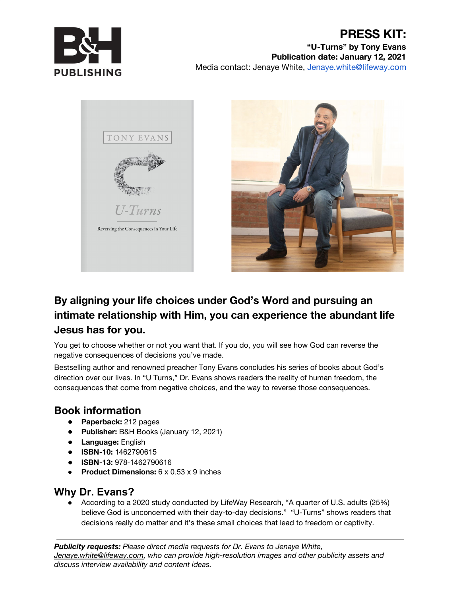

### **PRESS KIT: "U-Turns" by Tony Evans Publication date: January 12, 2021** Media contact: Jenaye White, [Jenaye.white@lifeway.com](mailto:Jenaye.white@lifeway.com)





# **By aligning your life choices under God's Word and pursuing an intimate relationship with Him, you can experience the abundant life Jesus has for you.**

You get to choose whether or not you want that. If you do, you will see how God can reverse the negative consequences of decisions you've made.

Bestselling author and renowned preacher Tony Evans concludes his series of books about God's direction over our lives. In "U Turns," Dr. Evans shows readers the reality of human freedom, the consequences that come from negative choices, and the way to reverse those consequences.

## **Book information**

- **Paperback:** 212 pages
- **Publisher:** B&H Books (January 12, 2021)
- **Language:** English
- **ISBN-10:** 1462790615
- **ISBN-13:** 978-1462790616
- **Product Dimensions:** 6 x 0.53 x 9 inches

# **Why Dr. Evans?**

● According to a 2020 study conducted by LifeWay Research, "A quarter of U.S. adults (25%) believe God is unconcerned with their day-to-day decisions." "U-Turns" shows readers that decisions really do matter and it's these small choices that lead to freedom or captivity.

*Publicity requests: Please direct media requests for Dr. Evans to Jenaye White, [Jenaye.white@lifeway.com,](mailto:Jenaye.white@lifeway.com) who can provide high-resolution images and other publicity assets and discuss interview availability and content ideas.*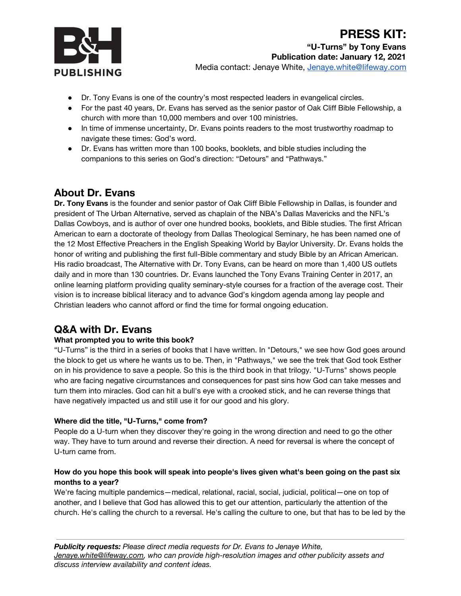

- Dr. Tony Evans is one of the country's most respected leaders in evangelical circles.
- For the past 40 years, Dr. Evans has served as the senior pastor of Oak Cliff Bible Fellowship, a church with more than 10,000 members and over 100 ministries.
- In time of immense uncertainty, Dr. Evans points readers to the most trustworthy roadmap to navigate these times: God's word.
- Dr. Evans has written more than 100 books, booklets, and bible studies including the companions to this series on God's direction: "Detours" and "Pathways."

### **About Dr. Evans**

**Dr. Tony Evans** is the founder and senior pastor of Oak Cliff Bible Fellowship in Dallas, is founder and president of The Urban Alternative, served as chaplain of the NBA's Dallas Mavericks and the NFL's Dallas Cowboys, and is author of over one hundred books, booklets, and Bible studies. The first African American to earn a doctorate of theology from Dallas Theological Seminary, he has been named one of the 12 Most Effective Preachers in the English Speaking World by Baylor University. Dr. Evans holds the honor of writing and publishing the first full-Bible commentary and study Bible by an African American. His radio broadcast, The Alternative with Dr. Tony Evans, can be heard on more than 1,400 US outlets daily and in more than 130 countries. Dr. Evans launched the Tony Evans Training Center in 2017, an online learning platform providing quality seminary-style courses for a fraction of the average cost. Their vision is to increase biblical literacy and to advance God's kingdom agenda among lay people and Christian leaders who cannot afford or find the time for formal ongoing education.

### **Q&A with Dr. Evans**

#### **What prompted you to write this book?**

"U-Turns" is the third in a series of books that I have written. In "Detours," we see how God goes around the block to get us where he wants us to be. Then, in "Pathways," we see the trek that God took Esther on in his providence to save a people. So this is the third book in that trilogy. "U-Turns" shows people who are facing negative circumstances and consequences for past sins how God can take messes and turn them into miracles. God can hit a bull's eye with a crooked stick, and he can reverse things that have negatively impacted us and still use it for our good and his glory.

#### **Where did the title, "U-Turns," come from?**

People do a U-turn when they discover they're going in the wrong direction and need to go the other way. They have to turn around and reverse their direction. A need for reversal is where the concept of U-turn came from.

#### How do you hope this book will speak into people's lives given what's been going on the past six **months to a year?**

We're facing multiple pandemics—medical, relational, racial, social, judicial, political—one on top of another, and I believe that God has allowed this to get our attention, particularly the attention of the church. He's calling the church to a reversal. He's calling the culture to one, but that has to be led by the

*Publicity requests: Please direct media requests for Dr. Evans to Jenaye White, [Jenaye.white@lifeway.com,](mailto:Jenaye.white@lifeway.com) who can provide high-resolution images and other publicity assets and discuss interview availability and content ideas.*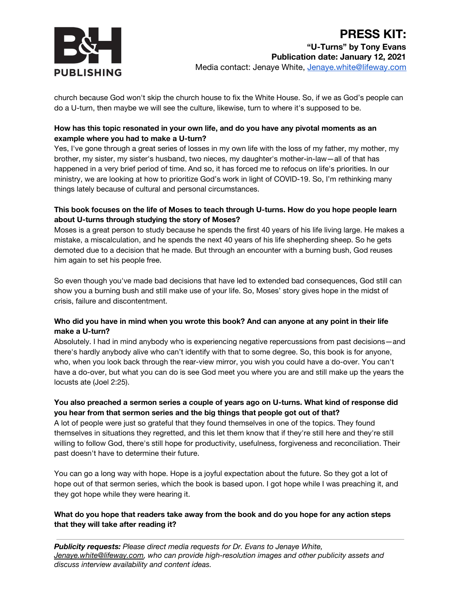

church because God won't skip the church house to fix the White House. So, if we as God's people can do a U-turn, then maybe we will see the culture, likewise, turn to where it's supposed to be.

#### **How has this topic resonated in your own life, and do you have any pivotal moments as an example where you had to make a U-turn?**

Yes, I've gone through a great series of losses in my own life with the loss of my father, my mother, my brother, my sister, my sister's husband, two nieces, my daughter's mother-in-law—all of that has happened in a very brief period of time. And so, it has forced me to refocus on life's priorities. In our ministry, we are looking at how to prioritize God's work in light of COVID-19. So, I'm rethinking many things lately because of cultural and personal circumstances.

#### **This book focuses on the life of Moses to teach through U-turns. How do you hope people learn about U-turns through studying the story of Moses?**

Moses is a great person to study because he spends the first 40 years of his life living large. He makes a mistake, a miscalculation, and he spends the next 40 years of his life shepherding sheep. So he gets demoted due to a decision that he made. But through an encounter with a burning bush, God reuses him again to set his people free.

So even though you've made bad decisions that have led to extended bad consequences, God still can show you a burning bush and still make use of your life. So, Moses' story gives hope in the midst of crisis, failure and discontentment.

#### Who did you have in mind when you wrote this book? And can anyone at any point in their life **make a U-turn?**

Absolutely. I had in mind anybody who is experiencing negative repercussions from past decisions—and there's hardly anybody alive who can't identify with that to some degree. So, this book is for anyone, who, when you look back through the rear-view mirror, you wish you could have a do-over. You can't have a do-over, but what you can do is see God meet you where you are and still make up the years the locusts ate (Joel 2:25).

#### **You also preached a sermon series a couple of years ago on U-turns. What kind of response did you hear from that sermon series and the big things that people got out of that?**

A lot of people were just so grateful that they found themselves in one of the topics. They found themselves in situations they regretted, and this let them know that if they're still here and they're still willing to follow God, there's still hope for productivity, usefulness, forgiveness and reconciliation. Their past doesn't have to determine their future.

You can go a long way with hope. Hope is a joyful expectation about the future. So they got a lot of hope out of that sermon series, which the book is based upon. I got hope while I was preaching it, and they got hope while they were hearing it.

#### **What do you hope that readers take away from the book and do you hope for any action steps that they will take after reading it?**

*Publicity requests: Please direct media requests for Dr. Evans to Jenaye White, [Jenaye.white@lifeway.com,](mailto:Jenaye.white@lifeway.com) who can provide high-resolution images and other publicity assets and discuss interview availability and content ideas.*